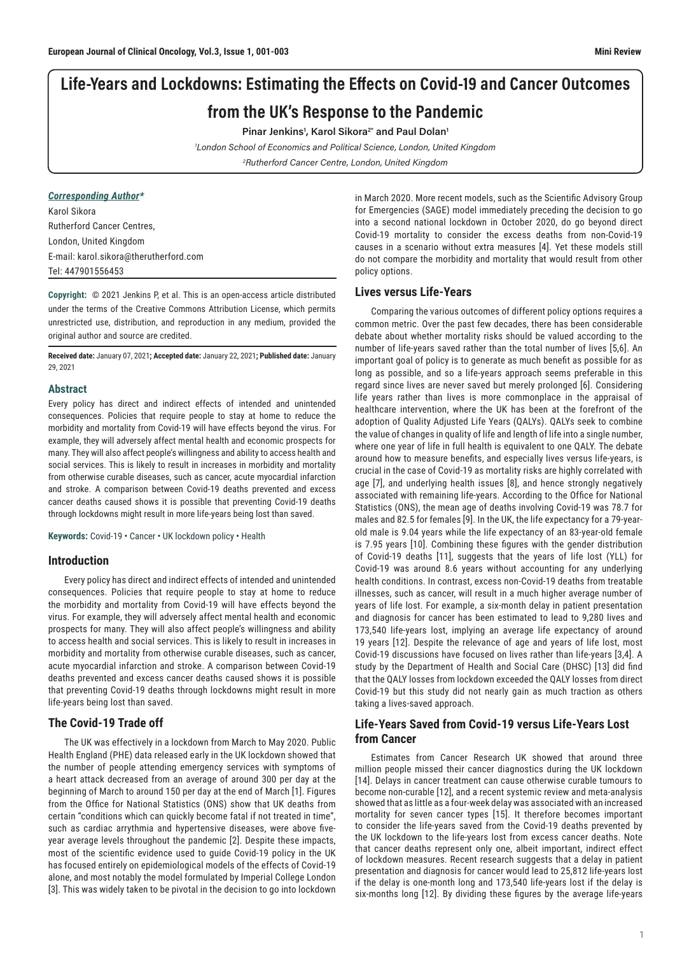# Life-Years and Lockdowns: Estimating the Effects on Covid-19 and Cancer Outcomes from the UK's Response to the Pandemic

## Pinar Jenkins<sup>1</sup>, Karol Sikora<sup>2\*</sup> and Paul Dolan<sup>1</sup>

1 London School of Economics and Political Science, London, United Kingdom 2 Rutherford Cancer Centre, London, United Kingdom

## *Corresponding Author\**

Karol Sikora Rutherford Cancer Centres, London, United Kingdom E-mail: karol.sikora@therutherford.com Tel: 447901556453

**Copyright:** © 2021 Jenkins P, et al. This is an open-access article distributed under the terms of the Creative Commons Attribution License, which permits unrestricted use, distribution, and reproduction in any medium, provided the original author and source are credited.

**Received date:** January 07, 2021**; Accepted date:** January 22, 2021**; Published date:** January 29, 2021

#### **Abstract**

Every policy has direct and indirect effects of intended and unintended consequences. Policies that require people to stay at home to reduce the morbidity and mortality from Covid-19 will have effects beyond the virus. For example, they will adversely affect mental health and economic prospects for many. They will also affect people's willingness and ability to access health and social services. This is likely to result in increases in morbidity and mortality from otherwise curable diseases, such as cancer, acute myocardial infarction and stroke. A comparison between Covid-19 deaths prevented and excess cancer deaths caused shows it is possible that preventing Covid-19 deaths through lockdowns might result in more life-years being lost than saved.

**Keywords:** Covid-19 • Cancer • UK lockdown policy • Health

#### **Introduction**

Every policy has direct and indirect effects of intended and unintended consequences. Policies that require people to stay at home to reduce the morbidity and mortality from Covid-19 will have effects beyond the virus. For example, they will adversely affect mental health and economic prospects for many. They will also affect people's willingness and ability to access health and social services. This is likely to result in increases in morbidity and mortality from otherwise curable diseases, such as cancer, acute myocardial infarction and stroke. A comparison between Covid-19 deaths prevented and excess cancer deaths caused shows it is possible that preventing Covid-19 deaths through lockdowns might result in more life-years being lost than saved.

### **The Covid-19 Trade off**

The UK was effectively in a lockdown from March to May 2020. Public Health England (PHE) data released early in the UK lockdown showed that the number of people attending emergency services with symptoms of a heart attack decreased from an average of around 300 per day at the beginning of March to around 150 per day at the end of March [1]. Figures from the Office for National Statistics (ONS) show that UK deaths from certain "conditions which can quickly become fatal if not treated in time", such as cardiac arrythmia and hypertensive diseases, were above fiveyear average levels throughout the pandemic [2]. Despite these impacts, most of the scientific evidence used to guide Covid-19 policy in the UK has focused entirely on epidemiological models of the effects of Covid-19 alone, and most notably the model formulated by Imperial College London [3]. This was widely taken to be pivotal in the decision to go into lockdown

in March 2020. More recent models, such as the Scientific Advisory Group for Emergencies (SAGE) model immediately preceding the decision to go into a second national lockdown in October 2020, do go beyond direct Covid-19 mortality to consider the excess deaths from non-Covid-19 causes in a scenario without extra measures [4]. Yet these models still do not compare the morbidity and mortality that would result from other policy options.

## **Lives versus Life-Years**

Comparing the various outcomes of different policy options requires a common metric. Over the past few decades, there has been considerable debate about whether mortality risks should be valued according to the number of life-years saved rather than the total number of lives [5,6]. An important goal of policy is to generate as much benefit as possible for as long as possible, and so a life-years approach seems preferable in this regard since lives are never saved but merely prolonged [6]. Considering life years rather than lives is more commonplace in the appraisal of healthcare intervention, where the UK has been at the forefront of the adoption of Quality Adjusted Life Years (QALYs). QALYs seek to combine the value of changes in quality of life and length of life into a single number, where one year of life in full health is equivalent to one QALY. The debate around how to measure benefits, and especially lives versus life-years, is crucial in the case of Covid-19 as mortality risks are highly correlated with age [7], and underlying health issues [8], and hence strongly negatively associated with remaining life-years. According to the Office for National Statistics (ONS), the mean age of deaths involving Covid-19 was 78.7 for males and 82.5 for females [9]. In the UK, the life expectancy for a 79-yearold male is 9.04 years while the life expectancy of an 83-year-old female is 7.95 years [10]. Combining these figures with the gender distribution of Covid-19 deaths [11], suggests that the years of life lost (YLL) for Covid-19 was around 8.6 years without accounting for any underlying health conditions. In contrast, excess non-Covid-19 deaths from treatable illnesses, such as cancer, will result in a much higher average number of years of life lost. For example, a six-month delay in patient presentation and diagnosis for cancer has been estimated to lead to 9,280 lives and 173,540 life-years lost, implying an average life expectancy of around 19 years [12]. Despite the relevance of age and years of life lost, most Covid-19 discussions have focused on lives rather than life-years [3,4]. A study by the Department of Health and Social Care (DHSC) [13] did find that the QALY losses from lockdown exceeded the QALY losses from direct Covid-19 but this study did not nearly gain as much traction as others taking a lives-saved approach.

## **Life-Years Saved from Covid-19 versus Life-Years Lost from Cancer**

Estimates from Cancer Research UK showed that around three million people missed their cancer diagnostics during the UK lockdown [14]. Delays in cancer treatment can cause otherwise curable tumours to become non-curable [12], and a recent systemic review and meta-analysis showed that as little as a four-week delay was associated with an increased mortality for seven cancer types [15]. It therefore becomes important to consider the life-years saved from the Covid-19 deaths prevented by the UK lockdown to the life-years lost from excess cancer deaths. Note that cancer deaths represent only one, albeit important, indirect effect of lockdown measures. Recent research suggests that a delay in patient presentation and diagnosis for cancer would lead to 25,812 life-years lost if the delay is one-month long and 173,540 life-years lost if the delay is six-months long [12]. By dividing these figures by the average life-years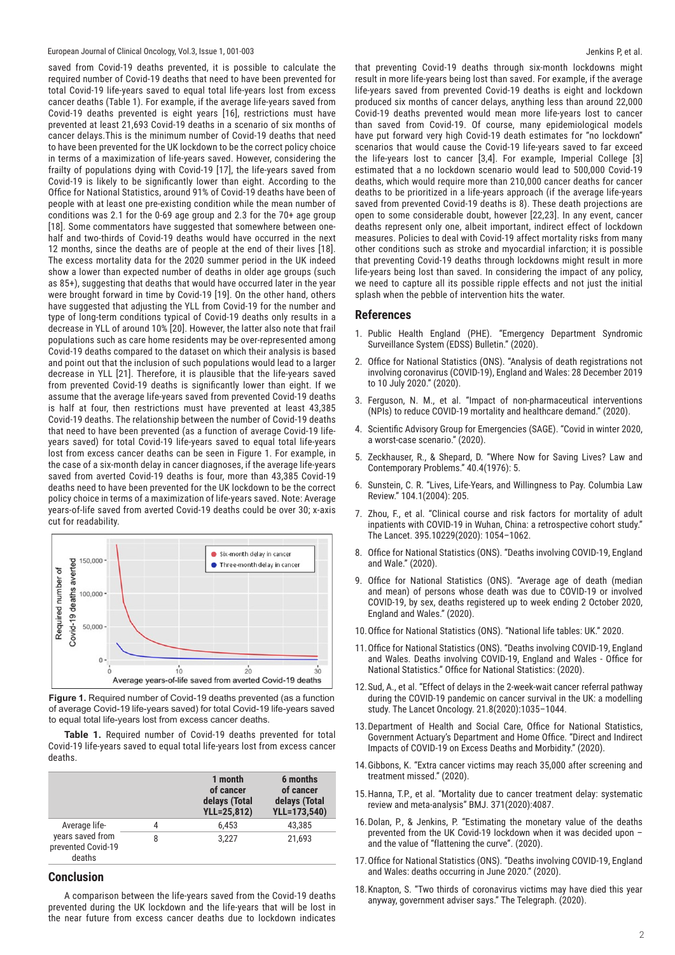#### European Journal of Clinical Oncology, Vol.3, Issue 1, 001-003

saved from Covid-19 deaths prevented, it is possible to calculate the required number of Covid-19 deaths that need to have been prevented for total Covid-19 life-years saved to equal total life-years lost from excess cancer deaths (Table 1). For example, if the average life-years saved from Covid-19 deaths prevented is eight years [16], restrictions must have prevented at least 21,693 Covid-19 deaths in a scenario of six months of cancer delays.This is the minimum number of Covid-19 deaths that need to have been prevented for the UK lockdown to be the correct policy choice in terms of a maximization of life-years saved. However, considering the frailty of populations dying with Covid-19 [17], the life-years saved from Covid-19 is likely to be significantly lower than eight. According to the Office for National Statistics, around 91% of Covid-19 deaths have been of people with at least one pre-existing condition while the mean number of conditions was 2.1 for the 0-69 age group and 2.3 for the 70+ age group [18]. Some commentators have suggested that somewhere between onehalf and two-thirds of Covid-19 deaths would have occurred in the next 12 months, since the deaths are of people at the end of their lives [18]. The excess mortality data for the 2020 summer period in the UK indeed show a lower than expected number of deaths in older age groups (such as 85+), suggesting that deaths that would have occurred later in the year were brought forward in time by Covid-19 [19]. On the other hand, others have suggested that adjusting the YLL from Covid-19 for the number and type of long-term conditions typical of Covid-19 deaths only results in a decrease in YLL of around 10% [20]. However, the latter also note that frail populations such as care home residents may be over-represented among Covid-19 deaths compared to the dataset on which their analysis is based and point out that the inclusion of such populations would lead to a larger decrease in YLL [21]. Therefore, it is plausible that the life-years saved from prevented Covid-19 deaths is significantly lower than eight. If we assume that the average life-years saved from prevented Covid-19 deaths is half at four, then restrictions must have prevented at least 43,385 Covid-19 deaths. The relationship between the number of Covid-19 deaths that need to have been prevented (as a function of average Covid-19 lifeyears saved) for total Covid-19 life-years saved to equal total life-years lost from excess cancer deaths can be seen in Figure 1. For example, in the case of a six-month delay in cancer diagnoses, if the average life-years saved from averted Covid-19 deaths is four, more than 43,385 Covid-19 deaths need to have been prevented for the UK lockdown to be the correct policy choice in terms of a maximization of life-years saved. Note: Average years-of-life saved from averted Covid-19 deaths could be over 30; x-axis cut for readability.



**Figure 1.** Required number of Covid-19 deaths prevented (as a function of average Covid-19 life-years saved) for total Covid-19 life-years saved to equal total life-years lost from excess cancer deaths.

**Table 1.** Required number of Covid-19 deaths prevented for total Covid-19 life-years saved to equal total life-years lost from excess cancer deaths.

|                                                                   |   | 1 month<br>of cancer<br>delays (Total<br><b>YLL=25,812)</b> | 6 months<br>of cancer<br>delays (Total<br>YLL=173,540) |
|-------------------------------------------------------------------|---|-------------------------------------------------------------|--------------------------------------------------------|
| Average life-<br>years saved from<br>prevented Covid-19<br>deaths | 4 | 6.453                                                       | 43,385                                                 |
|                                                                   | 8 | 3.227                                                       | 21,693                                                 |

## **Conclusion**

A comparison between the life-years saved from the Covid-19 deaths prevented during the UK lockdown and the life-years that will be lost in the near future from excess cancer deaths due to lockdown indicates that preventing Covid-19 deaths through six-month lockdowns might result in more life-years being lost than saved. For example, if the average life-years saved from prevented Covid-19 deaths is eight and lockdown produced six months of cancer delays, anything less than around 22,000 Covid-19 deaths prevented would mean more life-years lost to cancer than saved from Covid-19. Of course, many epidemiological models have put forward very high Covid-19 death estimates for "no lockdown" scenarios that would cause the Covid-19 life-years saved to far exceed the life-years lost to cancer [3,4]. For example, Imperial College [3] estimated that a no lockdown scenario would lead to 500,000 Covid-19 deaths, which would require more than 210,000 cancer deaths for cancer deaths to be prioritized in a life-years approach (if the average life-years saved from prevented Covid-19 deaths is 8). These death projections are open to some considerable doubt, however [22,23]. In any event, cancer deaths represent only one, albeit important, indirect effect of lockdown measures. Policies to deal with Covid-19 affect mortality risks from many other conditions such as stroke and myocardial infarction; it is possible that preventing Covid-19 deaths through lockdowns might result in more life-years being lost than saved. In considering the impact of any policy, we need to capture all its possible ripple effects and not just the initial splash when the pebble of intervention hits the water.

### **References**

- 1. Public Health England (PHE). "Emergency Department Syndromic Surveillance System (EDSS) Bulletin." (2020).
- 2. Office for National Statistics (ONS). "Analysis of death registrations not involving coronavirus (COVID-19), England and Wales: 28 December 2019 to 10 July 2020." (2020).
- 3. Ferguson, N. M., et al. "Impact of non-pharmaceutical interventions (NPIs) to reduce COVID-19 mortality and healthcare demand." (2020).
- 4. Scientific Advisory Group for Emergencies (SAGE). "Covid in winter 2020, a worst-case scenario." (2020).
- 5. Zeckhauser, R., & Shepard, D. "Where Now for Saving Lives? Law and Contemporary Problems." 40.4(1976): 5.
- 6. Sunstein, C. R. "Lives, Life-Years, and Willingness to Pay. Columbia Law Review." 104.1(2004): 205.
- 7. Zhou, F., et al. "Clinical course and risk factors for mortality of adult inpatients with COVID-19 in Wuhan, China: a retrospective cohort study." The Lancet. 395.10229(2020): 1054–1062.
- 8. Office for National Statistics (ONS). "Deaths involving COVID-19, England and Wale." (2020).
- 9. Office for National Statistics (ONS). "Average age of death (median and mean) of persons whose death was due to COVID-19 or involved COVID-19, by sex, deaths registered up to week ending 2 October 2020, England and Wales." (2020).
- 10.Office for National Statistics (ONS). "National life tables: UK." 2020.
- 11.Office for National Statistics (ONS). "Deaths involving COVID-19, England and Wales. Deaths involving COVID-19, England and Wales - Office for National Statistics." Office for National Statistics: (2020).
- 12.Sud, A., et al. "Effect of delays in the 2-week-wait cancer referral pathway during the COVID-19 pandemic on cancer survival in the UK: a modelling study. The Lancet Oncology. 21.8(2020):1035–1044.
- 13.Department of Health and Social Care, Office for National Statistics, Government Actuary's Department and Home Office. "Direct and Indirect Impacts of COVID-19 on Excess Deaths and Morbidity." (2020).
- 14.Gibbons, K. "Extra cancer victims may reach 35,000 after screening and treatment missed." (2020).
- 15.Hanna, T.P., et al. "Mortality due to cancer treatment delay: systematic review and meta-analysis" BMJ. 371(2020):4087.
- 16.Dolan, P., & Jenkins, P. "Estimating the monetary value of the deaths prevented from the UK Covid-19 lockdown when it was decided upon – and the value of "flattening the curve". (2020).
- 17.Office for National Statistics (ONS). "Deaths involving COVID-19, England and Wales: deaths occurring in June 2020." (2020).
- 18.Knapton, S. "Two thirds of coronavirus victims may have died this year anyway, government adviser says." The Telegraph. (2020).